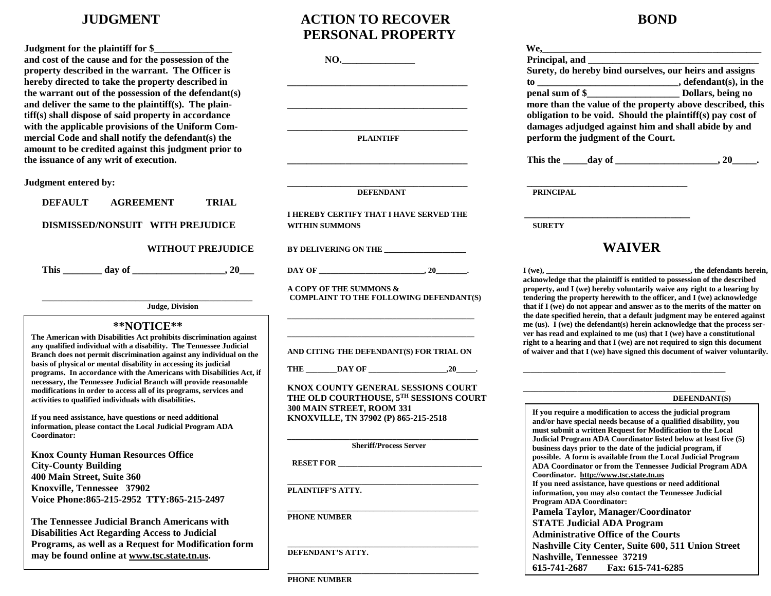### **\*\*NOTICE\*\***

**The Tennessee Judicial Branch Americans with Disabilities Act Regarding Access to Judicial Programs, as well as a Request for Modification form may be found online at www.tsc.state.tn.us.** 

# **JUDGMENT ACTION TO RECOVER BOND**

| and cost of the cause and for the possession of the<br>property described in the warrant. The Officer is                                  | NO.                                      | Principal, and _<br>Surety, do hereby bind ourselves, our h                                                |
|-------------------------------------------------------------------------------------------------------------------------------------------|------------------------------------------|------------------------------------------------------------------------------------------------------------|
| hereby directed to take the property described in<br>the warrant out of the possession of the defendant(s)                                |                                          |                                                                                                            |
| and deliver the same to the plaintiff(s). The plain-                                                                                      |                                          | more than the value of the property abo                                                                    |
| tiff(s) shall dispose of said property in accordance                                                                                      |                                          | obligation to be void. Should the plaint                                                                   |
| with the applicable provisions of the Uniform Com-                                                                                        |                                          | damages adjudged against him and sha                                                                       |
| mercial Code and shall notify the defendant(s) the                                                                                        | <b>PLAINTIFF</b>                         | perform the judgment of the Court.                                                                         |
| amount to be credited against this judgment prior to                                                                                      |                                          |                                                                                                            |
| the issuance of any writ of execution.                                                                                                    |                                          | This the day of                                                                                            |
| Judgment entered by:                                                                                                                      |                                          |                                                                                                            |
|                                                                                                                                           | <b>DEFENDANT</b>                         | <b>PRINCIPAL</b>                                                                                           |
| <b>DEFAULT</b><br><b>TRIAL</b><br><b>AGREEMENT</b>                                                                                        |                                          |                                                                                                            |
|                                                                                                                                           | I HEREBY CERTIFY THAT I HAVE SERVED THE  |                                                                                                            |
| DISMISSED/NONSUIT WITH PREJUDICE                                                                                                          | <b>WITHIN SUMMONS</b>                    | <b>SURETY</b>                                                                                              |
| <b>WITHOUT PREJUDICE</b>                                                                                                                  |                                          | <b>WAIVER</b>                                                                                              |
|                                                                                                                                           | BY DELIVERING ON THE                     |                                                                                                            |
|                                                                                                                                           |                                          | $I(we)$ ,                                                                                                  |
|                                                                                                                                           | A COPY OF THE SUMMONS &                  | acknowledge that the plaintiff is entitled to possess<br>property, and I (we) hereby voluntarily waive any |
|                                                                                                                                           | COMPLAINT TO THE FOLLOWING DEFENDANT(S)  | tendering the property herewith to the officer, and                                                        |
| <b>Judge, Division</b>                                                                                                                    |                                          | that if I (we) do not appear and answer as to the m                                                        |
|                                                                                                                                           |                                          | the date specified herein, that a default judgment                                                         |
| **NOTICE**                                                                                                                                |                                          | me (us). I (we) the defendant(s) herein acknowled<br>ver has read and explained to me (us) that I (we) h   |
| The American with Disabilities Act prohibits discrimination against                                                                       |                                          | right to a hearing and that I (we) are not required                                                        |
| any qualified individual with a disability. The Tennessee Judicial<br>Branch does not permit discrimination against any individual on the | AND CITING THE DEFENDANT(S) FOR TRIAL ON | of waiver and that I (we) have signed this documen                                                         |
| basis of physical or mental disability in accessing its judicial                                                                          |                                          |                                                                                                            |
| programs. In accordance with the Americans with Disabilities Act, if                                                                      |                                          |                                                                                                            |
| necessary, the Tennessee Judicial Branch will provide reasonable                                                                          | KNOX COUNTY GENERAL SESSIONS COURT       |                                                                                                            |
| modifications in order to access all of its programs, services and<br>activities to qualified individuals with disabilities.              | THE OLD COURTHOUSE, 5TH SESSIONS COURT   | <b>DEF</b>                                                                                                 |
|                                                                                                                                           | 300 MAIN STREET, ROOM 331                |                                                                                                            |
| If you need assistance, have questions or need additional                                                                                 | KNOXVILLE, TN 37902 (P) 865-215-2518     | If you require a modification to access the judic<br>and/or have special needs because of a qualified      |
| information, please contact the Local Judicial Program ADA                                                                                |                                          | must submit a written Request for Modification                                                             |
| Coordinator:                                                                                                                              |                                          | Judicial Program ADA Coordinator listed belo                                                               |
| <b>Knox County Human Resources Office</b>                                                                                                 | <b>Sheriff/Process Server</b>            | business days prior to the date of the judicial pr                                                         |
| <b>City-County Building</b>                                                                                                               | <b>RESET FOR</b>                         | possible. A form is available from the Local Ju<br><b>ADA Coordinator or from the Tennessee Judici</b>     |
| 400 Main Street, Suite 360                                                                                                                |                                          | Coordinator. http://www.tsc.state.tn.us                                                                    |
| Knoxville, Tennessee 37902                                                                                                                |                                          | If you need assistance, have questions or need a                                                           |
|                                                                                                                                           | PLAINTIFF'S ATTY.                        | information, you may also contact the Tennesse                                                             |
| Voice Phone: 865-215-2952 TTY: 865-215-2497                                                                                               |                                          | <b>Program ADA Coordinator:</b>                                                                            |
| The Tennessee Judicial Branch Americans with                                                                                              | <b>PHONE NUMBER</b>                      | Pamela Taylor, Manager/Coordinator                                                                         |
|                                                                                                                                           |                                          | <b>STATE Judicial ADA Program</b>                                                                          |
| <b>Disabilities Act Regarding Access to Judicial</b>                                                                                      |                                          | <b>Administrative Office of the Courts</b>                                                                 |

**\_\_\_\_\_\_\_\_\_\_\_\_\_\_\_\_\_\_\_\_\_\_\_\_\_\_\_\_\_\_\_\_\_\_\_\_\_\_\_\_\_\_\_\_\_\_\_\_\_**

**\_\_\_\_\_\_\_\_\_\_\_\_\_\_\_\_\_\_\_\_\_\_\_\_\_\_\_\_\_\_\_\_\_\_\_\_\_\_\_\_\_\_\_\_\_\_\_\_\_**

**DEFENDANT'S ATTY.**

|                                                                                                                                          | PERSONAL PROPERTY                                                   |                                                                                                                                                        |
|------------------------------------------------------------------------------------------------------------------------------------------|---------------------------------------------------------------------|--------------------------------------------------------------------------------------------------------------------------------------------------------|
| Judgment for the plaintiff for \$                                                                                                        |                                                                     |                                                                                                                                                        |
| and cost of the cause and for the possession of the                                                                                      | NO.                                                                 |                                                                                                                                                        |
| property described in the warrant. The Officer is                                                                                        |                                                                     | Surety, do hereby bind ourselves, our heirs and assigns                                                                                                |
| hereby directed to take the property described in                                                                                        |                                                                     |                                                                                                                                                        |
| the warrant out of the possession of the defendant(s)                                                                                    |                                                                     |                                                                                                                                                        |
| and deliver the same to the plaintiff(s). The plain-                                                                                     |                                                                     | more than the value of the property above described, this                                                                                              |
| tiff(s) shall dispose of said property in accordance                                                                                     |                                                                     | obligation to be void. Should the plaintiff(s) pay cost of                                                                                             |
| with the applicable provisions of the Uniform Com-                                                                                       |                                                                     | damages adjudged against him and shall abide by and                                                                                                    |
| mercial Code and shall notify the defendant(s) the                                                                                       | <b>PLAINTIFF</b>                                                    | perform the judgment of the Court.                                                                                                                     |
| amount to be credited against this judgment prior to                                                                                     |                                                                     |                                                                                                                                                        |
| the issuance of any writ of execution.                                                                                                   |                                                                     |                                                                                                                                                        |
| Judgment entered by:                                                                                                                     |                                                                     |                                                                                                                                                        |
|                                                                                                                                          | <b>DEFENDANT</b>                                                    | <b>PRINCIPAL</b>                                                                                                                                       |
| <b>TRIAL</b><br><b>DEFAULT</b><br><b>AGREEMENT</b>                                                                                       |                                                                     |                                                                                                                                                        |
|                                                                                                                                          | I HEREBY CERTIFY THAT I HAVE SERVED THE                             |                                                                                                                                                        |
| DISMISSED/NONSUIT WITH PREJUDICE                                                                                                         | <b>WITHIN SUMMONS</b>                                               | <b>SURETY</b>                                                                                                                                          |
| <b>WITHOUT PREJUDICE</b>                                                                                                                 | BY DELIVERING ON THE _________________                              | <b>WAIVER</b>                                                                                                                                          |
|                                                                                                                                          |                                                                     | the defendants herein,                                                                                                                                 |
|                                                                                                                                          | A COPY OF THE SUMMONS &                                             | acknowledge that the plaintiff is entitled to possession of the described<br>property, and I (we) hereby voluntarily waive any right to a hearing by   |
| <b>Judge, Division</b>                                                                                                                   | COMPLAINT TO THE FOLLOWING DEFENDANT(S)                             | tendering the property herewith to the officer, and I (we) acknowledge<br>that if I (we) do not appear and answer as to the merits of the matter on    |
| **NOTICE**                                                                                                                               |                                                                     | the date specified herein, that a default judgment may be entered against<br>me (us). I (we) the defendant(s) herein acknowledge that the process ser- |
| The American with Disabilities Act prohibits discrimination against                                                                      |                                                                     | ver has read and explained to me (us) that I (we) have a constitutional                                                                                |
| any qualified individual with a disability. The Tennessee Judicial                                                                       |                                                                     | right to a hearing and that I (we) are not required to sign this document                                                                              |
| Branch does not permit discrimination against any individual on the                                                                      | AND CITING THE DEFENDANT(S) FOR TRIAL ON                            | of waiver and that I (we) have signed this document of waiver voluntarily.                                                                             |
| basis of physical or mental disability in accessing its judicial<br>programs. In accordance with the Americans with Disabilities Act, if |                                                                     |                                                                                                                                                        |
| necessary, the Tennessee Judicial Branch will provide reasonable                                                                         |                                                                     |                                                                                                                                                        |
| modifications in order to access all of its programs, services and                                                                       | KNOX COUNTY GENERAL SESSIONS COURT                                  |                                                                                                                                                        |
| activities to qualified individuals with disabilities.                                                                                   | THE OLD COURTHOUSE, 5TH SESSIONS COURT<br>300 MAIN STREET, ROOM 331 | DEFENDANT(S)                                                                                                                                           |
| If you need assistance, have questions or need additional                                                                                | KNOXVILLE, TN 37902 (P) 865-215-2518                                | If you require a modification to access the judicial program                                                                                           |
| information, please contact the Local Judicial Program ADA                                                                               |                                                                     | and/or have special needs because of a qualified disability, you<br>must submit a written Request for Modification to the Local                        |
| Coordinator:                                                                                                                             |                                                                     | Judicial Program ADA Coordinator listed below at least five (5)                                                                                        |
|                                                                                                                                          | <b>Sheriff/Process Server</b>                                       | business days prior to the date of the judicial program, if                                                                                            |
| <b>Knox County Human Resources Office</b><br><b>City-County Building</b>                                                                 | RESET FOR                                                           | possible. A form is available from the Local Judicial Program<br>ADA Coordinator or from the Tennessee Judicial Program ADA                            |
| 400 Main Street, Suite 360                                                                                                               |                                                                     | Coordinator. http://www.tsc.state.tn.us                                                                                                                |
| Knoxville, Tennessee 37902                                                                                                               |                                                                     | If you need assistance, have questions or need additional                                                                                              |
| Voice Phone: 865-215-2952 TTY: 865-215-2497                                                                                              | PLAINTIFF'S ATTY.                                                   | information, you may also contact the Tennessee Judicial                                                                                               |
|                                                                                                                                          |                                                                     | Program ADA Coordinator:<br>Pamela Taylor, Manager/Coordinator                                                                                         |
| The Tennessee Judicial Branch Americans with                                                                                             | <b>PHONE NUMBER</b>                                                 | <b>STATE Judicial ADA Program</b>                                                                                                                      |
| <b>DE LURE LAD DE LA LA TUEL</b>                                                                                                         |                                                                     |                                                                                                                                                        |

**Administrative Office of the Courts Nashville City Center, Suite 600, 511 Union Street Nashville, Tennessee 37219**

**615-741-2687 Fax: 615-741-6285**